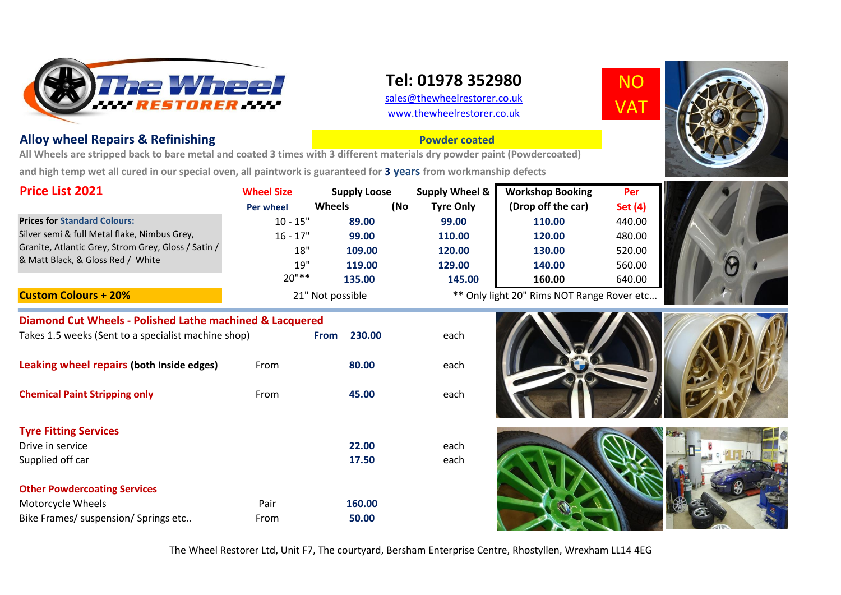

**Diamond Cut Wheels - Polished Lathe machined & Lacquered** 

Takes 1.5 weeks (Sent to a specialist machine shop) **From 230.00** each

**Leaking wheel repairs (both Inside edges)** From 80.00 each

**Chemical Paint Stripping only From** From **45.00** each

Drive in service **22.00** each

Motorcycle Wheels **160.00** Pair **160.00** Bike Frames/ suspension/ Springs etc.. **From From** 50.00

## **Tel: 01978 352980**

[sales@thewheelrestorer.c](mailto:sales@thewheelrestorer.co.uk)o.uk [www.thewheelrestorer.co](http://www.thewheelrestorer.co.uk/).uk

**Powder coated**

NO VAT



## **Alloy wheel Repairs & Refinishing**

**Tyre Fitting Services** 

Supplied off car

**Other Powdercoating Services**

**All Wheels are stripped back to bare metal and coated 3 times with 3 different materials dry powder paint (Powdercoated) and high temp wet all cured in our special oven, all paintwork is guaranteed for 3 years from workmanship defects**

| <b>Price List 2021</b>                                                                                                                   | <b>Wheel Size</b> | <b>Supply Loose</b> |     | Supply Wheel &                             | <b>Workshop Booking</b> | Per            |  |
|------------------------------------------------------------------------------------------------------------------------------------------|-------------------|---------------------|-----|--------------------------------------------|-------------------------|----------------|--|
|                                                                                                                                          | <b>Per wheel</b>  | <b>Wheels</b>       | (No | <b>Tyre Only</b>                           | (Drop off the car)      | <b>Set (4)</b> |  |
| <b>Prices for Standard Colours:</b>                                                                                                      | $10 - 15"$        | 89.00               |     | 99.00                                      | 110.00                  | 440.00         |  |
| Silver semi & full Metal flake, Nimbus Grey,<br>Granite, Atlantic Grey, Strom Grey, Gloss / Satin /<br>& Matt Black, & Gloss Red / White | $16 - 17"$        | 99.00               |     | 110.00                                     | 120.00                  | 480.00         |  |
|                                                                                                                                          | 18"               | 109.00              |     | 120.00                                     | 130.00                  | 520.00         |  |
|                                                                                                                                          | 19"               | 119.00              |     | 129.00                                     | 140.00                  | 560.00         |  |
|                                                                                                                                          | $20"$ **          | 135.00              |     | 145.00                                     | 160.00                  | 640.00         |  |
| <b>Custom Colours + 20%</b>                                                                                                              | 21" Not possible  |                     |     | ** Only light 20" Rims NOT Range Rover etc |                         |                |  |

21" Not possible **\*\*** Only light 20" Rims NOT Range Rover etc...









## The Wheel Restorer Ltd, Unit F7, The courtyard, Bersham Enterprise Centre, Rhostyllen, Wrexham LL14 4EG

**17.50** each